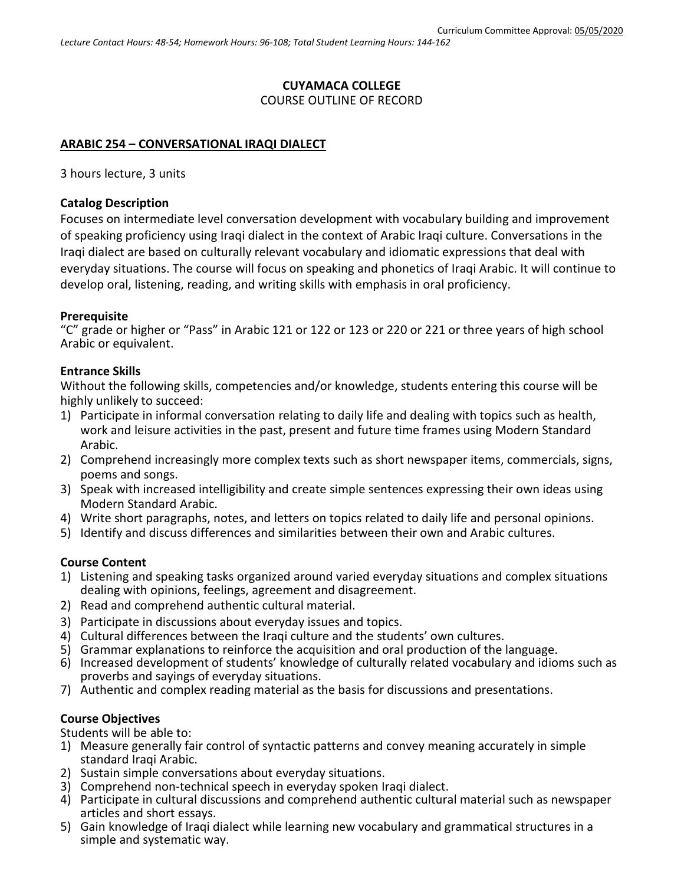# **CUYAMACA COLLEGE**

## COURSE OUTLINE OF RECORD

## **ARABIC 254 – CONVERSATIONAL IRAQI DIALECT**

3 hours lecture, 3 units

#### **Catalog Description**

Focuses on intermediate level conversation development with vocabulary building and improvement of speaking proficiency using Iraqi dialect in the context of Arabic Iraqi culture. Conversations in the Iraqi dialect are based on culturally relevant vocabulary and idiomatic expressions that deal with everyday situations. The course will focus on speaking and phonetics of Iraqi Arabic. It will continue to develop oral, listening, reading, and writing skills with emphasis in oral proficiency.

### **Prerequisite**

"C" grade or higher or "Pass" in Arabic 121 or 122 or 123 or 220 or 221 or three years of high school Arabic or equivalent.

#### **Entrance Skills**

Without the following skills, competencies and/or knowledge, students entering this course will be highly unlikely to succeed:

- 1) Participate in informal conversation relating to daily life and dealing with topics such as health, work and leisure activities in the past, present and future time frames using Modern Standard Arabic.
- 2) Comprehend increasingly more complex texts such as short newspaper items, commercials, signs, poems and songs.
- 3) Speak with increased intelligibility and create simple sentences expressing their own ideas using Modern Standard Arabic.
- 4) Write short paragraphs, notes, and letters on topics related to daily life and personal opinions.
- 5) Identify and discuss differences and similarities between their own and Arabic cultures.

### **Course Content**

- 1) Listening and speaking tasks organized around varied everyday situations and complex situations dealing with opinions, feelings, agreement and disagreement.
- 2) Read and comprehend authentic cultural material.
- 3) Participate in discussions about everyday issues and topics.
- 4) Cultural differences between the Iraqi culture and the students' own cultures.
- 5) Grammar explanations to reinforce the acquisition and oral production of the language.
- 6) Increased development of students' knowledge of culturally related vocabulary and idioms such as proverbs and sayings of everyday situations.
- 7) Authentic and complex reading material as the basis for discussions and presentations.

### **Course Objectives**

Students will be able to:

- 1) Measure generally fair control of syntactic patterns and convey meaning accurately in simple standard Iraqi Arabic.
- 2) Sustain simple conversations about everyday situations.
- 3) Comprehend non-technical speech in everyday spoken Iraqi dialect.
- 4) Participate in cultural discussions and comprehend authentic cultural material such as newspaper articles and short essays.
- 5) Gain knowledge of Iraqi dialect while learning new vocabulary and grammatical structures in a simple and systematic way.